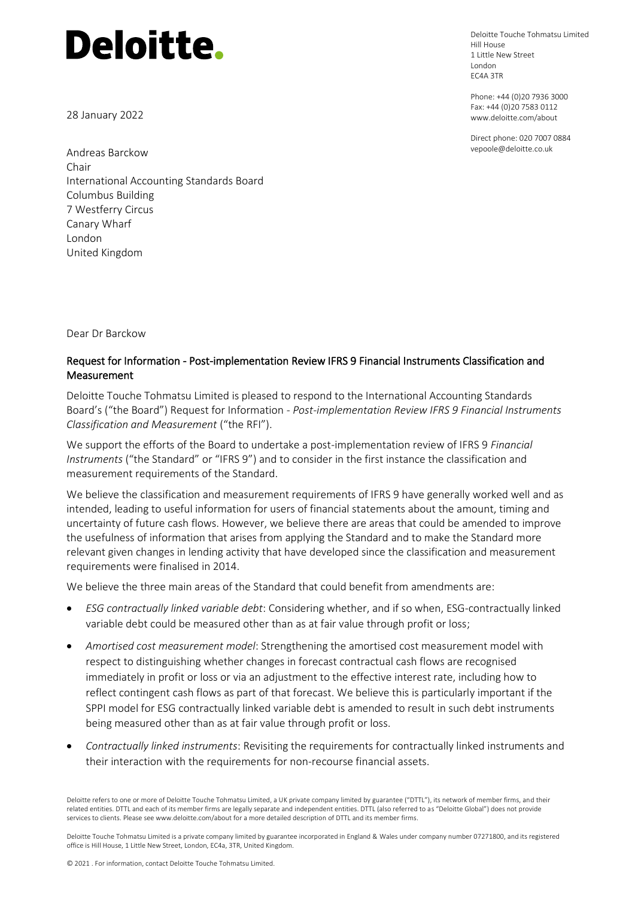28 January 2022

Deloitte Touche Tohmatsu Limited Hill House 1 Little New Street London EC4A 3TR

Phone: +44 (0)20 7936 3000 Fax: +44 (0)20 7583 0112 www.deloitte.com/about

Direct phone: 020 7007 0884 vepoole@deloitte.co.uk

Andreas Barckow Chair International Accounting Standards Board Columbus Building 7 Westferry Circus Canary Wharf London United Kingdom

Dear Dr Barckow

#### Request for Information - Post-implementation Review IFRS 9 Financial Instruments Classification and Measurement

Deloitte Touche Tohmatsu Limited is pleased to respond to the International Accounting Standards Board's ("the Board") Request for Information - *Post-implementation Review IFRS 9 Financial Instruments Classification and Measurement* ("the RFI").

We support the efforts of the Board to undertake a post-implementation review of IFRS 9 *Financial Instruments* ("the Standard" or "IFRS 9") and to consider in the first instance the classification and measurement requirements of the Standard.

We believe the classification and measurement requirements of IFRS 9 have generally worked well and as intended, leading to useful information for users of financial statements about the amount, timing and uncertainty of future cash flows. However, we believe there are areas that could be amended to improve the usefulness of information that arises from applying the Standard and to make the Standard more relevant given changes in lending activity that have developed since the classification and measurement requirements were finalised in 2014.

We believe the three main areas of the Standard that could benefit from amendments are:

- *ESG contractually linked variable debt*: Considering whether, and if so when, ESG-contractually linked variable debt could be measured other than as at fair value through profit or loss;
- *Amortised cost measurement model*: Strengthening the amortised cost measurement model with respect to distinguishing whether changes in forecast contractual cash flows are recognised immediately in profit or loss or via an adjustment to the effective interest rate, including how to reflect contingent cash flows as part of that forecast. We believe this is particularly important if the SPPI model for ESG contractually linked variable debt is amended to result in such debt instruments being measured other than as at fair value through profit or loss.
- *Contractually linked instruments*: Revisiting the requirements for contractually linked instruments and their interaction with the requirements for non-recourse financial assets.

Deloitte refers to one or more of Deloitte Touche Tohmatsu Limited, a UK private company limited by guarantee ("DTTL"), its network of member firms, and their related entities. DTTL and each of its member firms are legally separate and independent entities. DTTL (also referred to as "Deloitte Global") does not provide services to clients. Please see www.deloitte.com/about for a more detailed description of DTTL and its member firms.

Deloitte Touche Tohmatsu Limited is a private company limited by guarantee incorporated in England & Wales under company number 07271800, and its registered office is Hill House, 1 Little New Street, London, EC4a, 3TR, United Kingdom.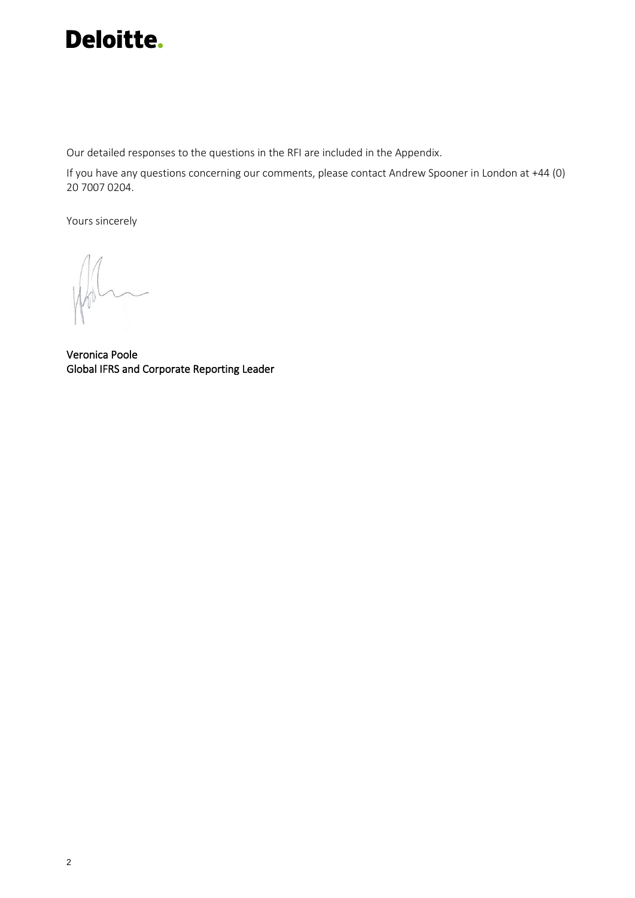Our detailed responses to the questions in the RFI are included in the Appendix.

If you have any questions concerning our comments, please contact Andrew Spooner in London at +44 (0) 20 7007 0204.

Yours sincerely

Veronica Poole Global IFRS and Corporate Reporting Leader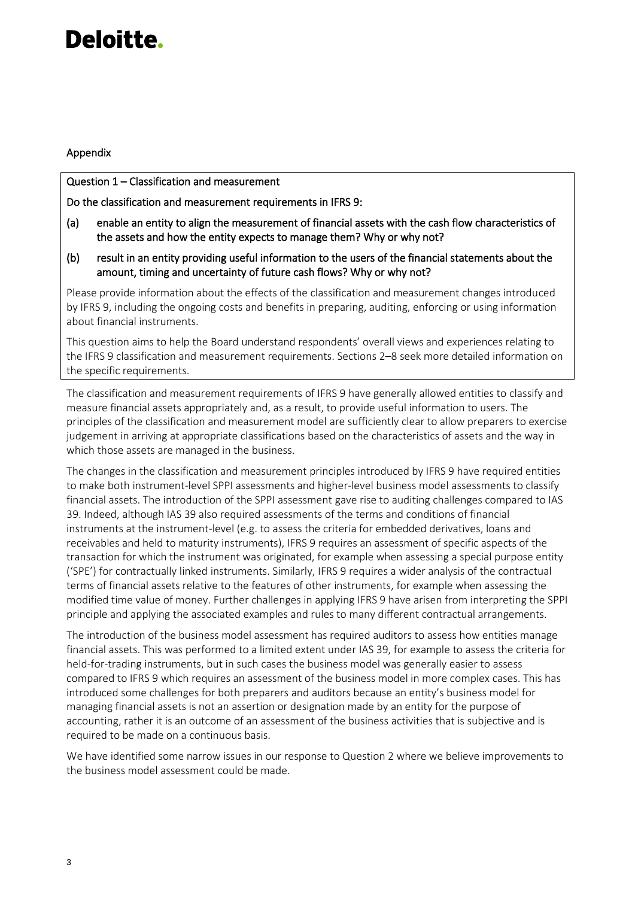#### Appendix

Question 1 – Classification and measurement

Do the classification and measurement requirements in IFRS 9:

- (a) enable an entity to align the measurement of financial assets with the cash flow characteristics of the assets and how the entity expects to manage them? Why or why not?
- (b) result in an entity providing useful information to the users of the financial statements about the amount, timing and uncertainty of future cash flows? Why or why not?

Please provide information about the effects of the classification and measurement changes introduced by IFRS 9, including the ongoing costs and benefits in preparing, auditing, enforcing or using information about financial instruments.

This question aims to help the Board understand respondents' overall views and experiences relating to the IFRS 9 classification and measurement requirements. Sections 2–8 seek more detailed information on the specific requirements.

The classification and measurement requirements of IFRS 9 have generally allowed entities to classify and measure financial assets appropriately and, as a result, to provide useful information to users. The principles of the classification and measurement model are sufficiently clear to allow preparers to exercise judgement in arriving at appropriate classifications based on the characteristics of assets and the way in which those assets are managed in the business.

The changes in the classification and measurement principles introduced by IFRS 9 have required entities to make both instrument-level SPPI assessments and higher-level business model assessments to classify financial assets. The introduction of the SPPI assessment gave rise to auditing challenges compared to IAS 39. Indeed, although IAS 39 also required assessments of the terms and conditions of financial instruments at the instrument-level (e.g. to assess the criteria for embedded derivatives, loans and receivables and held to maturity instruments), IFRS 9 requires an assessment of specific aspects of the transaction for which the instrument was originated, for example when assessing a special purpose entity ('SPE') for contractually linked instruments. Similarly, IFRS 9 requires a wider analysis of the contractual terms of financial assets relative to the features of other instruments, for example when assessing the modified time value of money. Further challenges in applying IFRS 9 have arisen from interpreting the SPPI principle and applying the associated examples and rules to many different contractual arrangements.

The introduction of the business model assessment has required auditors to assess how entities manage financial assets. This was performed to a limited extent under IAS 39, for example to assess the criteria for held-for-trading instruments, but in such cases the business model was generally easier to assess compared to IFRS 9 which requires an assessment of the business model in more complex cases. This has introduced some challenges for both preparers and auditors because an entity's business model for managing financial assets is not an assertion or designation made by an entity for the purpose of accounting, rather it is an outcome of an assessment of the business activities that is subjective and is required to be made on a continuous basis.

We have identified some narrow issues in our response to Question 2 where we believe improvements to the business model assessment could be made.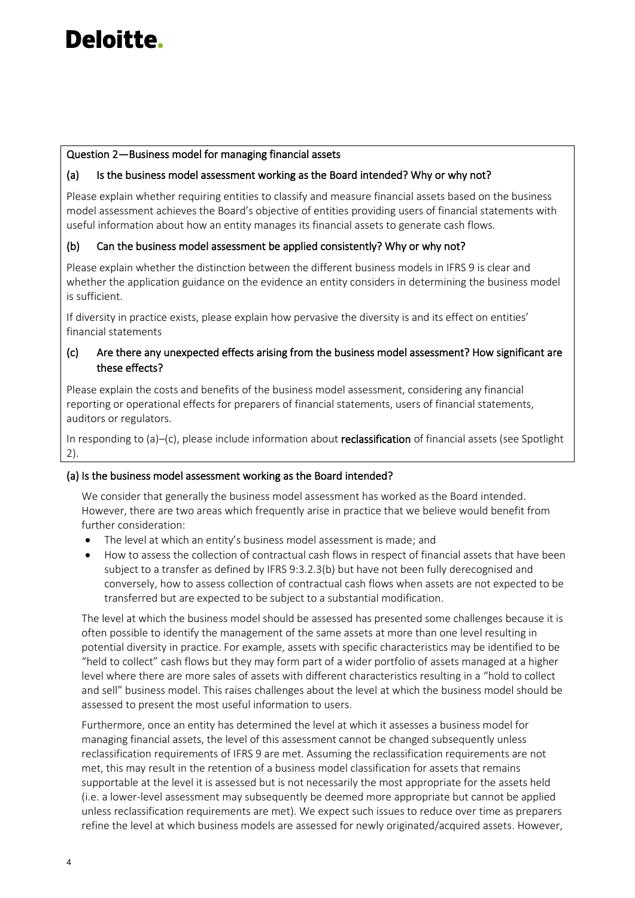#### Question 2—Business model for managing financial assets

#### (a) Is the business model assessment working as the Board intended? Why or why not?

Please explain whether requiring entities to classify and measure financial assets based on the business model assessment achieves the Board's objective of entities providing users of financial statements with useful information about how an entity manages its financial assets to generate cash flows.

#### (b) Can the business model assessment be applied consistently? Why or why not?

Please explain whether the distinction between the different business models in IFRS 9 is clear and whether the application guidance on the evidence an entity considers in determining the business model is sufficient.

If diversity in practice exists, please explain how pervasive the diversity is and its effect on entities' financial statements

#### (c) Are there any unexpected effects arising from the business model assessment? How significant are these effects?

Please explain the costs and benefits of the business model assessment, considering any financial reporting or operational effects for preparers of financial statements, users of financial statements, auditors or regulators.

In responding to  $(a)$ –(c), please include information about **reclassification** of financial assets (see Spotlight 2).

#### (a) Is the business model assessment working as the Board intended?

We consider that generally the business model assessment has worked as the Board intended. However, there are two areas which frequently arise in practice that we believe would benefit from further consideration:

- The level at which an entity's business model assessment is made; and
- How to assess the collection of contractual cash flows in respect of financial assets that have been subject to a transfer as defined by IFRS 9:3.2.3(b) but have not been fully derecognised and conversely, how to assess collection of contractual cash flows when assets are not expected to be transferred but are expected to be subject to a substantial modification.

The level at which the business model should be assessed has presented some challenges because it is often possible to identify the management of the same assets at more than one level resulting in potential diversity in practice. For example, assets with specific characteristics may be identified to be "held to collect" cash flows but they may form part of a wider portfolio of assets managed at a higher level where there are more sales of assets with different characteristics resulting in a "hold to collect and sell" business model. This raises challenges about the level at which the business model should be assessed to present the most useful information to users.

Furthermore, once an entity has determined the level at which it assesses a business model for managing financial assets, the level of this assessment cannot be changed subsequently unless reclassification requirements of IFRS 9 are met. Assuming the reclassification requirements are not met, this may result in the retention of a business model classification for assets that remains supportable at the level it is assessed but is not necessarily the most appropriate for the assets held (i.e. a lower-level assessment may subsequently be deemed more appropriate but cannot be applied unless reclassification requirements are met). We expect such issues to reduce over time as preparers refine the level at which business models are assessed for newly originated/acquired assets. However,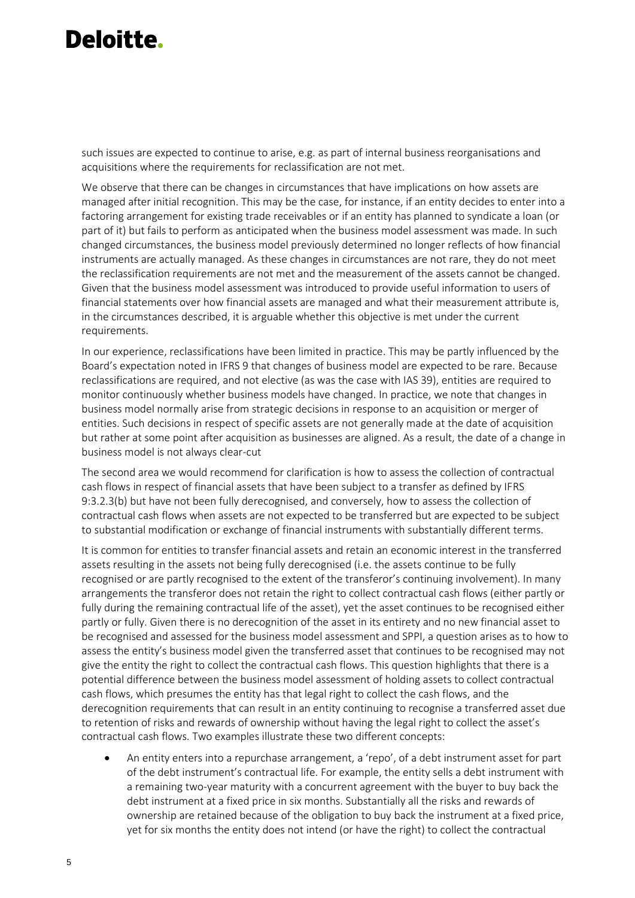such issues are expected to continue to arise, e.g. as part of internal business reorganisations and acquisitions where the requirements for reclassification are not met.

We observe that there can be changes in circumstances that have implications on how assets are managed after initial recognition. This may be the case, for instance, if an entity decides to enter into a factoring arrangement for existing trade receivables or if an entity has planned to syndicate a loan (or part of it) but fails to perform as anticipated when the business model assessment was made. In such changed circumstances, the business model previously determined no longer reflects of how financial instruments are actually managed. As these changes in circumstances are not rare, they do not meet the reclassification requirements are not met and the measurement of the assets cannot be changed. Given that the business model assessment was introduced to provide useful information to users of financial statements over how financial assets are managed and what their measurement attribute is, in the circumstances described, it is arguable whether this objective is met under the current requirements.

In our experience, reclassifications have been limited in practice. This may be partly influenced by the Board's expectation noted in IFRS 9 that changes of business model are expected to be rare. Because reclassifications are required, and not elective (as was the case with IAS 39), entities are required to monitor continuously whether business models have changed. In practice, we note that changes in business model normally arise from strategic decisions in response to an acquisition or merger of entities. Such decisions in respect of specific assets are not generally made at the date of acquisition but rather at some point after acquisition as businesses are aligned. As a result, the date of a change in business model is not always clear-cut

The second area we would recommend for clarification is how to assess the collection of contractual cash flows in respect of financial assets that have been subject to a transfer as defined by IFRS 9:3.2.3(b) but have not been fully derecognised, and conversely, how to assess the collection of contractual cash flows when assets are not expected to be transferred but are expected to be subject to substantial modification or exchange of financial instruments with substantially different terms.

It is common for entities to transfer financial assets and retain an economic interest in the transferred assets resulting in the assets not being fully derecognised (i.e. the assets continue to be fully recognised or are partly recognised to the extent of the transferor's continuing involvement). In many arrangements the transferor does not retain the right to collect contractual cash flows (either partly or fully during the remaining contractual life of the asset), yet the asset continues to be recognised either partly or fully. Given there is no derecognition of the asset in its entirety and no new financial asset to be recognised and assessed for the business model assessment and SPPI, a question arises as to how to assess the entity's business model given the transferred asset that continues to be recognised may not give the entity the right to collect the contractual cash flows. This question highlights that there is a potential difference between the business model assessment of holding assets to collect contractual cash flows, which presumes the entity has that legal right to collect the cash flows, and the derecognition requirements that can result in an entity continuing to recognise a transferred asset due to retention of risks and rewards of ownership without having the legal right to collect the asset's contractual cash flows. Two examples illustrate these two different concepts:

• An entity enters into a repurchase arrangement, a 'repo', of a debt instrument asset for part of the debt instrument's contractual life. For example, the entity sells a debt instrument with a remaining two-year maturity with a concurrent agreement with the buyer to buy back the debt instrument at a fixed price in six months. Substantially all the risks and rewards of ownership are retained because of the obligation to buy back the instrument at a fixed price, yet for six months the entity does not intend (or have the right) to collect the contractual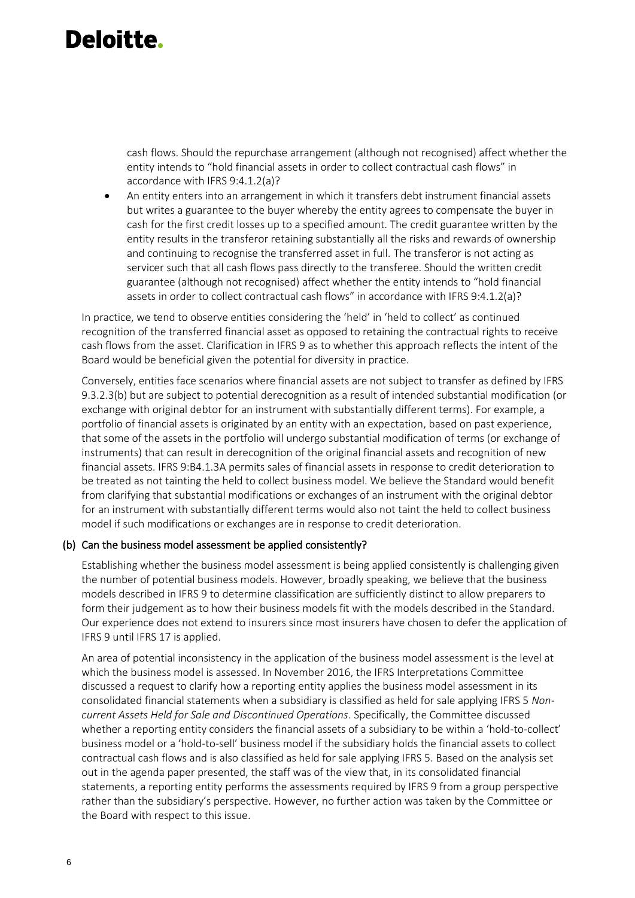cash flows. Should the repurchase arrangement (although not recognised) affect whether the entity intends to "hold financial assets in order to collect contractual cash flows" in accordance with IFRS 9:4.1.2(a)?

• An entity enters into an arrangement in which it transfers debt instrument financial assets but writes a guarantee to the buyer whereby the entity agrees to compensate the buyer in cash for the first credit losses up to a specified amount. The credit guarantee written by the entity results in the transferor retaining substantially all the risks and rewards of ownership and continuing to recognise the transferred asset in full. The transferor is not acting as servicer such that all cash flows pass directly to the transferee. Should the written credit guarantee (although not recognised) affect whether the entity intends to "hold financial assets in order to collect contractual cash flows" in accordance with IFRS 9:4.1.2(a)?

In practice, we tend to observe entities considering the 'held' in 'held to collect' as continued recognition of the transferred financial asset as opposed to retaining the contractual rights to receive cash flows from the asset. Clarification in IFRS 9 as to whether this approach reflects the intent of the Board would be beneficial given the potential for diversity in practice.

Conversely, entities face scenarios where financial assets are not subject to transfer as defined by IFRS 9.3.2.3(b) but are subject to potential derecognition as a result of intended substantial modification (or exchange with original debtor for an instrument with substantially different terms). For example, a portfolio of financial assets is originated by an entity with an expectation, based on past experience, that some of the assets in the portfolio will undergo substantial modification of terms (or exchange of instruments) that can result in derecognition of the original financial assets and recognition of new financial assets. IFRS 9:B4.1.3A permits sales of financial assets in response to credit deterioration to be treated as not tainting the held to collect business model. We believe the Standard would benefit from clarifying that substantial modifications or exchanges of an instrument with the original debtor for an instrument with substantially different terms would also not taint the held to collect business model if such modifications or exchanges are in response to credit deterioration.

#### (b) Can the business model assessment be applied consistently?

Establishing whether the business model assessment is being applied consistently is challenging given the number of potential business models. However, broadly speaking, we believe that the business models described in IFRS 9 to determine classification are sufficiently distinct to allow preparers to form their judgement as to how their business models fit with the models described in the Standard. Our experience does not extend to insurers since most insurers have chosen to defer the application of IFRS 9 until IFRS 17 is applied.

An area of potential inconsistency in the application of the business model assessment is the level at which the business model is assessed. In November 2016, the IFRS Interpretations Committee discussed a request to clarify how a reporting entity applies the business model assessment in its consolidated financial statements when a subsidiary is classified as held for sale applying IFRS 5 *Noncurrent Assets Held for Sale and Discontinued Operations*. Specifically, the Committee discussed whether a reporting entity considers the financial assets of a subsidiary to be within a 'hold-to-collect' business model or a 'hold-to-sell' business model if the subsidiary holds the financial assets to collect contractual cash flows and is also classified as held for sale applying IFRS 5. Based on the analysis set out in the agenda paper presented, the staff was of the view that, in its consolidated financial statements, a reporting entity performs the assessments required by IFRS 9 from a group perspective rather than the subsidiary's perspective. However, no further action was taken by the Committee or the Board with respect to this issue.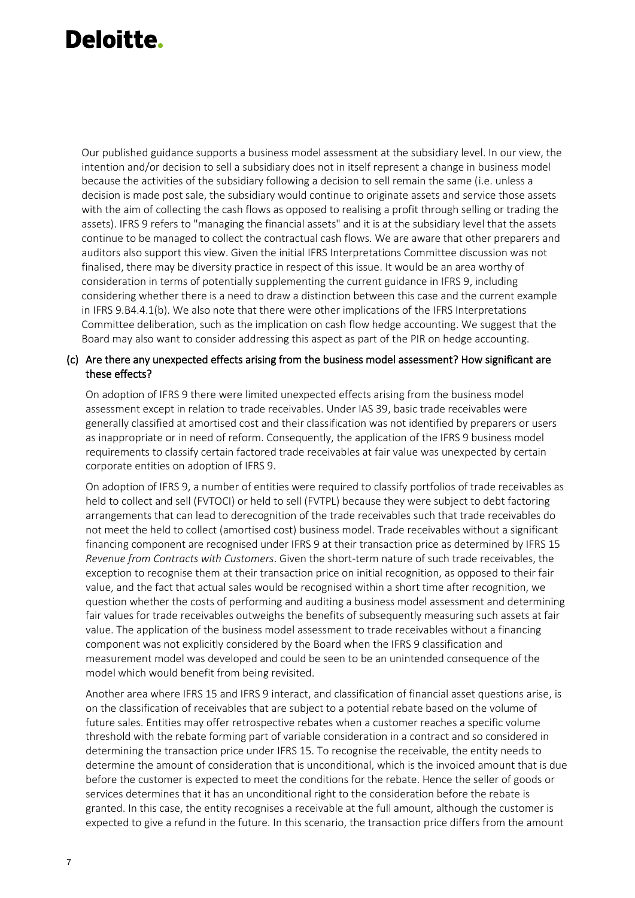Our published guidance supports a business model assessment at the subsidiary level. In our view, the intention and/or decision to sell a subsidiary does not in itself represent a change in business model because the activities of the subsidiary following a decision to sell remain the same (i.e. unless a decision is made post sale, the subsidiary would continue to originate assets and service those assets with the aim of collecting the cash flows as opposed to realising a profit through selling or trading the assets). IFRS 9 refers to "managing the financial assets" and it is at the subsidiary level that the assets continue to be managed to collect the contractual cash flows. We are aware that other preparers and auditors also support this view. Given the initial IFRS Interpretations Committee discussion was not finalised, there may be diversity practice in respect of this issue. It would be an area worthy of consideration in terms of potentially supplementing the current guidance in IFRS 9, including considering whether there is a need to draw a distinction between this case and the current example in IFRS 9.B4.4.1(b). We also note that there were other implications of the IFRS Interpretations Committee deliberation, such as the implication on cash flow hedge accounting. We suggest that the Board may also want to consider addressing this aspect as part of the PIR on hedge accounting.

#### (c) Are there any unexpected effects arising from the business model assessment? How significant are these effects?

On adoption of IFRS 9 there were limited unexpected effects arising from the business model assessment except in relation to trade receivables. Under IAS 39, basic trade receivables were generally classified at amortised cost and their classification was not identified by preparers or users as inappropriate or in need of reform. Consequently, the application of the IFRS 9 business model requirements to classify certain factored trade receivables at fair value was unexpected by certain corporate entities on adoption of IFRS 9.

On adoption of IFRS 9, a number of entities were required to classify portfolios of trade receivables as held to collect and sell (FVTOCI) or held to sell (FVTPL) because they were subject to debt factoring arrangements that can lead to derecognition of the trade receivables such that trade receivables do not meet the held to collect (amortised cost) business model. Trade receivables without a significant financing component are recognised under IFRS 9 at their transaction price as determined by IFRS 15 *Revenue from Contracts with Customers*. Given the short-term nature of such trade receivables, the exception to recognise them at their transaction price on initial recognition, as opposed to their fair value, and the fact that actual sales would be recognised within a short time after recognition, we question whether the costs of performing and auditing a business model assessment and determining fair values for trade receivables outweighs the benefits of subsequently measuring such assets at fair value. The application of the business model assessment to trade receivables without a financing component was not explicitly considered by the Board when the IFRS 9 classification and measurement model was developed and could be seen to be an unintended consequence of the model which would benefit from being revisited.

Another area where IFRS 15 and IFRS 9 interact, and classification of financial asset questions arise, is on the classification of receivables that are subject to a potential rebate based on the volume of future sales. Entities may offer retrospective rebates when a customer reaches a specific volume threshold with the rebate forming part of variable consideration in a contract and so considered in determining the transaction price under IFRS 15. To recognise the receivable, the entity needs to determine the amount of consideration that is unconditional, which is the invoiced amount that is due before the customer is expected to meet the conditions for the rebate. Hence the seller of goods or services determines that it has an unconditional right to the consideration before the rebate is granted. In this case, the entity recognises a receivable at the full amount, although the customer is expected to give a refund in the future. In this scenario, the transaction price differs from the amount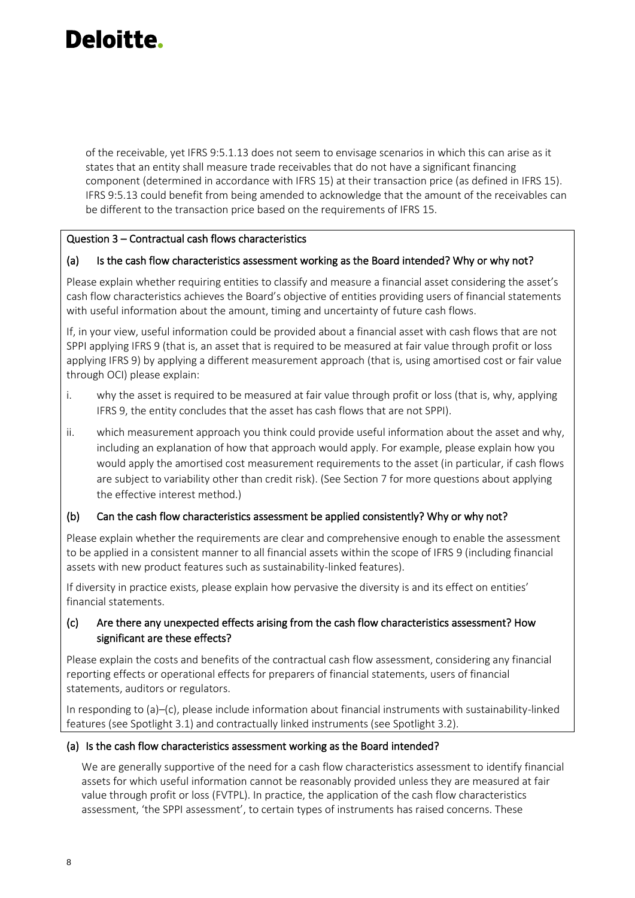of the receivable, yet IFRS 9:5.1.13 does not seem to envisage scenarios in which this can arise as it states that an entity shall measure trade receivables that do not have a significant financing component (determined in accordance with IFRS 15) at their transaction price (as defined in IFRS 15). IFRS 9:5.13 could benefit from being amended to acknowledge that the amount of the receivables can be different to the transaction price based on the requirements of IFRS 15.

#### Question 3 – Contractual cash flows characteristics

#### (a) Is the cash flow characteristics assessment working as the Board intended? Why or why not?

Please explain whether requiring entities to classify and measure a financial asset considering the asset's cash flow characteristics achieves the Board's objective of entities providing users of financial statements with useful information about the amount, timing and uncertainty of future cash flows.

If, in your view, useful information could be provided about a financial asset with cash flows that are not SPPI applying IFRS 9 (that is, an asset that is required to be measured at fair value through profit or loss applying IFRS 9) by applying a different measurement approach (that is, using amortised cost or fair value through OCI) please explain:

- i. why the asset is required to be measured at fair value through profit or loss (that is, why, applying IFRS 9, the entity concludes that the asset has cash flows that are not SPPI).
- ii. which measurement approach you think could provide useful information about the asset and why, including an explanation of how that approach would apply. For example, please explain how you would apply the amortised cost measurement requirements to the asset (in particular, if cash flows are subject to variability other than credit risk). (See Section 7 for more questions about applying the effective interest method.)

#### (b) Can the cash flow characteristics assessment be applied consistently? Why or why not?

Please explain whether the requirements are clear and comprehensive enough to enable the assessment to be applied in a consistent manner to all financial assets within the scope of IFRS 9 (including financial assets with new product features such as sustainability-linked features).

If diversity in practice exists, please explain how pervasive the diversity is and its effect on entities' financial statements.

#### (c) Are there any unexpected effects arising from the cash flow characteristics assessment? How significant are these effects?

Please explain the costs and benefits of the contractual cash flow assessment, considering any financial reporting effects or operational effects for preparers of financial statements, users of financial statements, auditors or regulators.

In responding to (a)–(c), please include information about financial instruments with sustainability-linked features (see Spotlight 3.1) and contractually linked instruments (see Spotlight 3.2).

#### (a) Is the cash flow characteristics assessment working as the Board intended?

We are generally supportive of the need for a cash flow characteristics assessment to identify financial assets for which useful information cannot be reasonably provided unless they are measured at fair value through profit or loss (FVTPL). In practice, the application of the cash flow characteristics assessment, 'the SPPI assessment', to certain types of instruments has raised concerns. These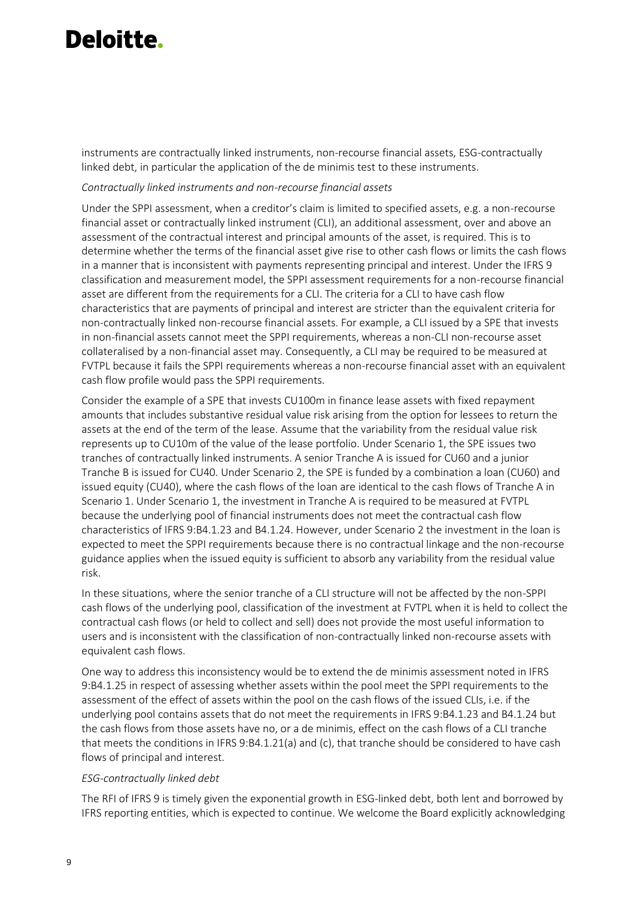instruments are contractually linked instruments, non-recourse financial assets, ESG-contractually linked debt, in particular the application of the de minimis test to these instruments.

#### *Contractually linked instruments and non-recourse financial assets*

Under the SPPI assessment, when a creditor's claim is limited to specified assets, e.g. a non-recourse financial asset or contractually linked instrument (CLI), an additional assessment, over and above an assessment of the contractual interest and principal amounts of the asset, is required. This is to determine whether the terms of the financial asset give rise to other cash flows or limits the cash flows in a manner that is inconsistent with payments representing principal and interest. Under the IFRS 9 classification and measurement model, the SPPI assessment requirements for a non-recourse financial asset are different from the requirements for a CLI. The criteria for a CLI to have cash flow characteristics that are payments of principal and interest are stricter than the equivalent criteria for non-contractually linked non-recourse financial assets. For example, a CLI issued by a SPE that invests in non-financial assets cannot meet the SPPI requirements, whereas a non-CLI non-recourse asset collateralised by a non-financial asset may. Consequently, a CLI may be required to be measured at FVTPL because it fails the SPPI requirements whereas a non-recourse financial asset with an equivalent cash flow profile would pass the SPPI requirements.

Consider the example of a SPE that invests CU100m in finance lease assets with fixed repayment amounts that includes substantive residual value risk arising from the option for lessees to return the assets at the end of the term of the lease. Assume that the variability from the residual value risk represents up to CU10m of the value of the lease portfolio. Under Scenario 1, the SPE issues two tranches of contractually linked instruments. A senior Tranche A is issued for CU60 and a junior Tranche B is issued for CU40. Under Scenario 2, the SPE is funded by a combination a loan (CU60) and issued equity (CU40), where the cash flows of the loan are identical to the cash flows of Tranche A in Scenario 1. Under Scenario 1, the investment in Tranche A is required to be measured at FVTPL because the underlying pool of financial instruments does not meet the contractual cash flow characteristics of IFRS 9:B4.1.23 and B4.1.24. However, under Scenario 2 the investment in the loan is expected to meet the SPPI requirements because there is no contractual linkage and the non-recourse guidance applies when the issued equity is sufficient to absorb any variability from the residual value risk.

In these situations, where the senior tranche of a CLI structure will not be affected by the non-SPPI cash flows of the underlying pool, classification of the investment at FVTPL when it is held to collect the contractual cash flows (or held to collect and sell) does not provide the most useful information to users and is inconsistent with the classification of non-contractually linked non-recourse assets with equivalent cash flows.

One way to address this inconsistency would be to extend the de minimis assessment noted in IFRS 9:B4.1.25 in respect of assessing whether assets within the pool meet the SPPI requirements to the assessment of the effect of assets within the pool on the cash flows of the issued CLIs, i.e. if the underlying pool contains assets that do not meet the requirements in IFRS 9:B4.1.23 and B4.1.24 but the cash flows from those assets have no, or a de minimis, effect on the cash flows of a CLI tranche that meets the conditions in IFRS 9:B4.1.21(a) and (c), that tranche should be considered to have cash flows of principal and interest.

#### *ESG-contractually linked debt*

The RFI of IFRS 9 is timely given the exponential growth in ESG-linked debt, both lent and borrowed by IFRS reporting entities, which is expected to continue. We welcome the Board explicitly acknowledging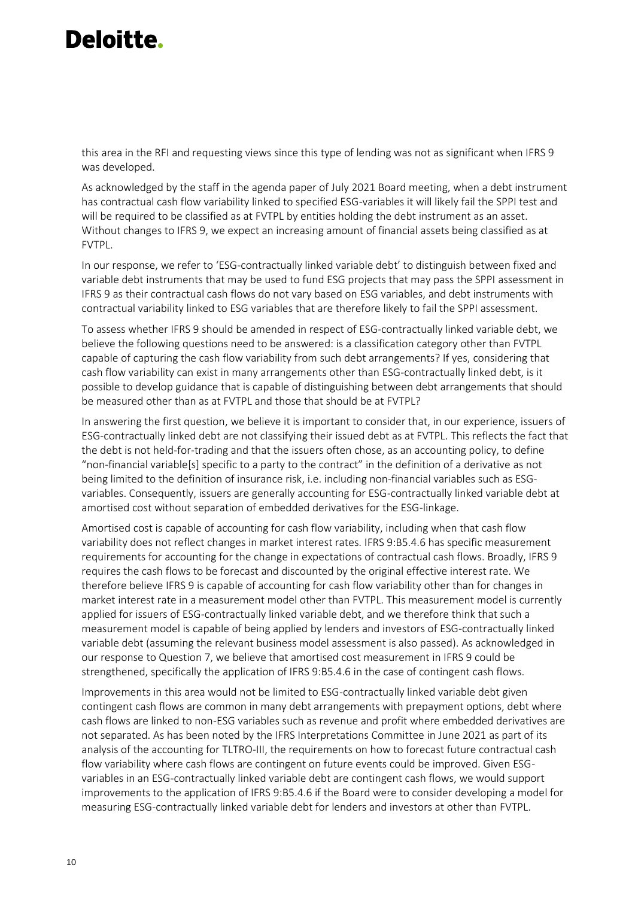this area in the RFI and requesting views since this type of lending was not as significant when IFRS 9 was developed.

As acknowledged by the staff in the agenda paper of July 2021 Board meeting, when a debt instrument has contractual cash flow variability linked to specified ESG-variables it will likely fail the SPPI test and will be required to be classified as at FVTPL by entities holding the debt instrument as an asset. Without changes to IFRS 9, we expect an increasing amount of financial assets being classified as at FVTPL.

In our response, we refer to 'ESG-contractually linked variable debt' to distinguish between fixed and variable debt instruments that may be used to fund ESG projects that may pass the SPPI assessment in IFRS 9 as their contractual cash flows do not vary based on ESG variables, and debt instruments with contractual variability linked to ESG variables that are therefore likely to fail the SPPI assessment.

To assess whether IFRS 9 should be amended in respect of ESG-contractually linked variable debt, we believe the following questions need to be answered: is a classification category other than FVTPL capable of capturing the cash flow variability from such debt arrangements? If yes, considering that cash flow variability can exist in many arrangements other than ESG-contractually linked debt, is it possible to develop guidance that is capable of distinguishing between debt arrangements that should be measured other than as at FVTPL and those that should be at FVTPL?

In answering the first question, we believe it is important to consider that, in our experience, issuers of ESG-contractually linked debt are not classifying their issued debt as at FVTPL. This reflects the fact that the debt is not held-for-trading and that the issuers often chose, as an accounting policy, to define "non-financial variable[s] specific to a party to the contract" in the definition of a derivative as not being limited to the definition of insurance risk, i.e. including non-financial variables such as ESGvariables. Consequently, issuers are generally accounting for ESG-contractually linked variable debt at amortised cost without separation of embedded derivatives for the ESG-linkage.

Amortised cost is capable of accounting for cash flow variability, including when that cash flow variability does not reflect changes in market interest rates. IFRS 9:B5.4.6 has specific measurement requirements for accounting for the change in expectations of contractual cash flows. Broadly, IFRS 9 requires the cash flows to be forecast and discounted by the original effective interest rate. We therefore believe IFRS 9 is capable of accounting for cash flow variability other than for changes in market interest rate in a measurement model other than FVTPL. This measurement model is currently applied for issuers of ESG-contractually linked variable debt, and we therefore think that such a measurement model is capable of being applied by lenders and investors of ESG-contractually linked variable debt (assuming the relevant business model assessment is also passed). As acknowledged in our response to Question 7, we believe that amortised cost measurement in IFRS 9 could be strengthened, specifically the application of IFRS 9:B5.4.6 in the case of contingent cash flows.

Improvements in this area would not be limited to ESG-contractually linked variable debt given contingent cash flows are common in many debt arrangements with prepayment options, debt where cash flows are linked to non-ESG variables such as revenue and profit where embedded derivatives are not separated. As has been noted by the IFRS Interpretations Committee in June 2021 as part of its analysis of the accounting for TLTRO-III, the requirements on how to forecast future contractual cash flow variability where cash flows are contingent on future events could be improved. Given ESGvariables in an ESG-contractually linked variable debt are contingent cash flows, we would support improvements to the application of IFRS 9:B5.4.6 if the Board were to consider developing a model for measuring ESG-contractually linked variable debt for lenders and investors at other than FVTPL.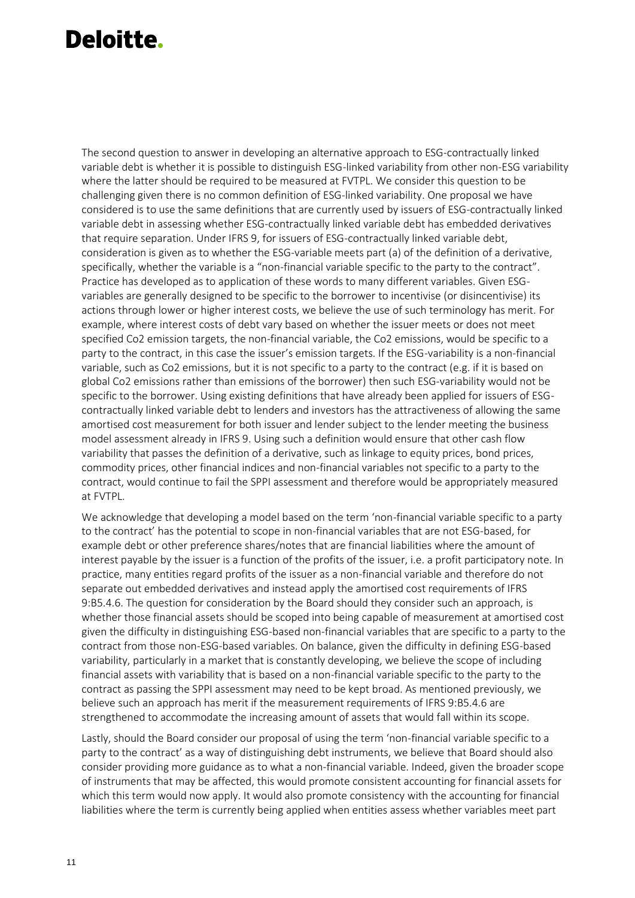The second question to answer in developing an alternative approach to ESG-contractually linked variable debt is whether it is possible to distinguish ESG-linked variability from other non-ESG variability where the latter should be required to be measured at FVTPL. We consider this question to be challenging given there is no common definition of ESG-linked variability. One proposal we have considered is to use the same definitions that are currently used by issuers of ESG-contractually linked variable debt in assessing whether ESG-contractually linked variable debt has embedded derivatives that require separation. Under IFRS 9, for issuers of ESG-contractually linked variable debt, consideration is given as to whether the ESG-variable meets part (a) of the definition of a derivative, specifically, whether the variable is a "non-financial variable specific to the party to the contract". Practice has developed as to application of these words to many different variables. Given ESGvariables are generally designed to be specific to the borrower to incentivise (or disincentivise) its actions through lower or higher interest costs, we believe the use of such terminology has merit. For example, where interest costs of debt vary based on whether the issuer meets or does not meet specified Co2 emission targets, the non-financial variable, the Co2 emissions, would be specific to a party to the contract, in this case the issuer's emission targets. If the ESG-variability is a non-financial variable, such as Co2 emissions, but it is not specific to a party to the contract (e.g. if it is based on global Co2 emissions rather than emissions of the borrower) then such ESG-variability would not be specific to the borrower. Using existing definitions that have already been applied for issuers of ESGcontractually linked variable debt to lenders and investors has the attractiveness of allowing the same amortised cost measurement for both issuer and lender subject to the lender meeting the business model assessment already in IFRS 9. Using such a definition would ensure that other cash flow variability that passes the definition of a derivative, such as linkage to equity prices, bond prices, commodity prices, other financial indices and non-financial variables not specific to a party to the contract, would continue to fail the SPPI assessment and therefore would be appropriately measured at FVTPL.

We acknowledge that developing a model based on the term 'non-financial variable specific to a party to the contract' has the potential to scope in non-financial variables that are not ESG-based, for example debt or other preference shares/notes that are financial liabilities where the amount of interest payable by the issuer is a function of the profits of the issuer, i.e. a profit participatory note. In practice, many entities regard profits of the issuer as a non-financial variable and therefore do not separate out embedded derivatives and instead apply the amortised cost requirements of IFRS 9:B5.4.6. The question for consideration by the Board should they consider such an approach, is whether those financial assets should be scoped into being capable of measurement at amortised cost given the difficulty in distinguishing ESG-based non-financial variables that are specific to a party to the contract from those non-ESG-based variables. On balance, given the difficulty in defining ESG-based variability, particularly in a market that is constantly developing, we believe the scope of including financial assets with variability that is based on a non-financial variable specific to the party to the contract as passing the SPPI assessment may need to be kept broad. As mentioned previously, we believe such an approach has merit if the measurement requirements of IFRS 9:B5.4.6 are strengthened to accommodate the increasing amount of assets that would fall within its scope.

Lastly, should the Board consider our proposal of using the term 'non-financial variable specific to a party to the contract' as a way of distinguishing debt instruments, we believe that Board should also consider providing more guidance as to what a non-financial variable. Indeed, given the broader scope of instruments that may be affected, this would promote consistent accounting for financial assets for which this term would now apply. It would also promote consistency with the accounting for financial liabilities where the term is currently being applied when entities assess whether variables meet part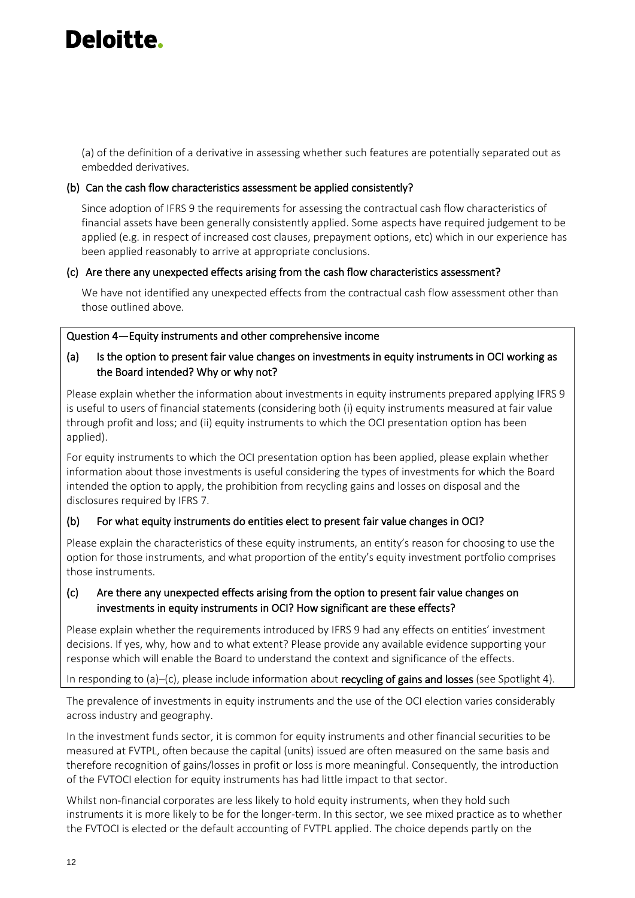(a) of the definition of a derivative in assessing whether such features are potentially separated out as embedded derivatives.

#### (b) Can the cash flow characteristics assessment be applied consistently?

Since adoption of IFRS 9 the requirements for assessing the contractual cash flow characteristics of financial assets have been generally consistently applied. Some aspects have required judgement to be applied (e.g. in respect of increased cost clauses, prepayment options, etc) which in our experience has been applied reasonably to arrive at appropriate conclusions.

#### (c) Are there any unexpected effects arising from the cash flow characteristics assessment?

We have not identified any unexpected effects from the contractual cash flow assessment other than those outlined above.

#### Question 4—Equity instruments and other comprehensive income

#### (a) Is the option to present fair value changes on investments in equity instruments in OCI working as the Board intended? Why or why not?

Please explain whether the information about investments in equity instruments prepared applying IFRS 9 is useful to users of financial statements (considering both (i) equity instruments measured at fair value through profit and loss; and (ii) equity instruments to which the OCI presentation option has been applied).

For equity instruments to which the OCI presentation option has been applied, please explain whether information about those investments is useful considering the types of investments for which the Board intended the option to apply, the prohibition from recycling gains and losses on disposal and the disclosures required by IFRS 7.

#### (b) For what equity instruments do entities elect to present fair value changes in OCI?

Please explain the characteristics of these equity instruments, an entity's reason for choosing to use the option for those instruments, and what proportion of the entity's equity investment portfolio comprises those instruments.

#### (c) Are there any unexpected effects arising from the option to present fair value changes on investments in equity instruments in OCI? How significant are these effects?

Please explain whether the requirements introduced by IFRS 9 had any effects on entities' investment decisions. If yes, why, how and to what extent? Please provide any available evidence supporting your response which will enable the Board to understand the context and significance of the effects.

In responding to (a)–(c), please include information about recycling of gains and losses (see Spotlight 4).

The prevalence of investments in equity instruments and the use of the OCI election varies considerably across industry and geography.

In the investment funds sector, it is common for equity instruments and other financial securities to be measured at FVTPL, often because the capital (units) issued are often measured on the same basis and therefore recognition of gains/losses in profit or loss is more meaningful. Consequently, the introduction of the FVTOCI election for equity instruments has had little impact to that sector.

Whilst non-financial corporates are less likely to hold equity instruments, when they hold such instruments it is more likely to be for the longer-term. In this sector, we see mixed practice as to whether the FVTOCI is elected or the default accounting of FVTPL applied. The choice depends partly on the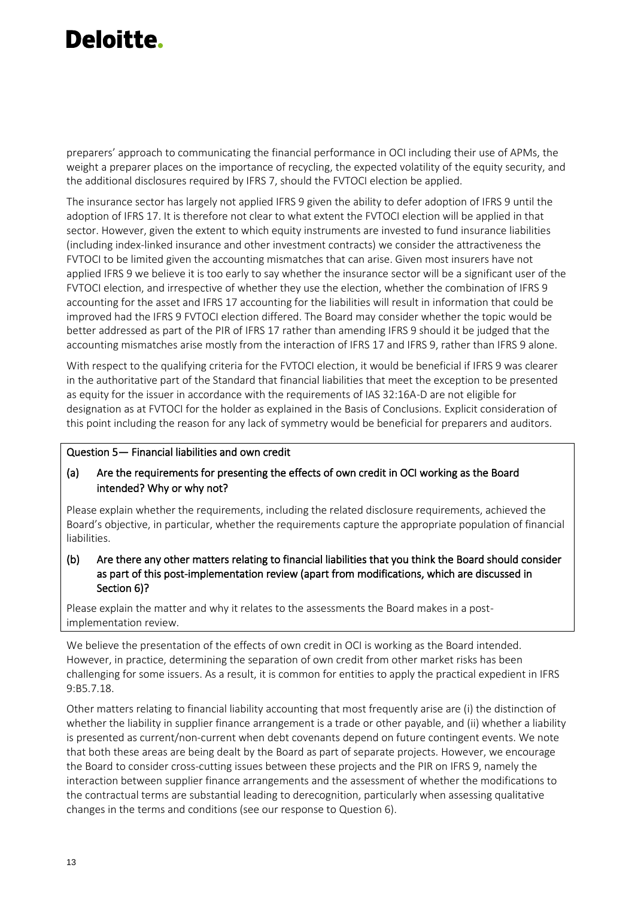preparers' approach to communicating the financial performance in OCI including their use of APMs, the weight a preparer places on the importance of recycling, the expected volatility of the equity security, and the additional disclosures required by IFRS 7, should the FVTOCI election be applied.

The insurance sector has largely not applied IFRS 9 given the ability to defer adoption of IFRS 9 until the adoption of IFRS 17. It is therefore not clear to what extent the FVTOCI election will be applied in that sector. However, given the extent to which equity instruments are invested to fund insurance liabilities (including index-linked insurance and other investment contracts) we consider the attractiveness the FVTOCI to be limited given the accounting mismatches that can arise. Given most insurers have not applied IFRS 9 we believe it is too early to say whether the insurance sector will be a significant user of the FVTOCI election, and irrespective of whether they use the election, whether the combination of IFRS 9 accounting for the asset and IFRS 17 accounting for the liabilities will result in information that could be improved had the IFRS 9 FVTOCI election differed. The Board may consider whether the topic would be better addressed as part of the PIR of IFRS 17 rather than amending IFRS 9 should it be judged that the accounting mismatches arise mostly from the interaction of IFRS 17 and IFRS 9, rather than IFRS 9 alone.

With respect to the qualifying criteria for the FVTOCI election, it would be beneficial if IFRS 9 was clearer in the authoritative part of the Standard that financial liabilities that meet the exception to be presented as equity for the issuer in accordance with the requirements of IAS 32:16A-D are not eligible for designation as at FVTOCI for the holder as explained in the Basis of Conclusions. Explicit consideration of this point including the reason for any lack of symmetry would be beneficial for preparers and auditors.

#### Question 5— Financial liabilities and own credit

#### (a) Are the requirements for presenting the effects of own credit in OCI working as the Board intended? Why or why not?

Please explain whether the requirements, including the related disclosure requirements, achieved the Board's objective, in particular, whether the requirements capture the appropriate population of financial liabilities.

#### (b) Are there any other matters relating to financial liabilities that you think the Board should consider as part of this post-implementation review (apart from modifications, which are discussed in Section 6)?

Please explain the matter and why it relates to the assessments the Board makes in a postimplementation review.

We believe the presentation of the effects of own credit in OCI is working as the Board intended. However, in practice, determining the separation of own credit from other market risks has been challenging for some issuers. As a result, it is common for entities to apply the practical expedient in IFRS 9:B5.7.18.

Other matters relating to financial liability accounting that most frequently arise are (i) the distinction of whether the liability in supplier finance arrangement is a trade or other payable, and (ii) whether a liability is presented as current/non-current when debt covenants depend on future contingent events. We note that both these areas are being dealt by the Board as part of separate projects. However, we encourage the Board to consider cross-cutting issues between these projects and the PIR on IFRS 9, namely the interaction between supplier finance arrangements and the assessment of whether the modifications to the contractual terms are substantial leading to derecognition, particularly when assessing qualitative changes in the terms and conditions (see our response to Question 6).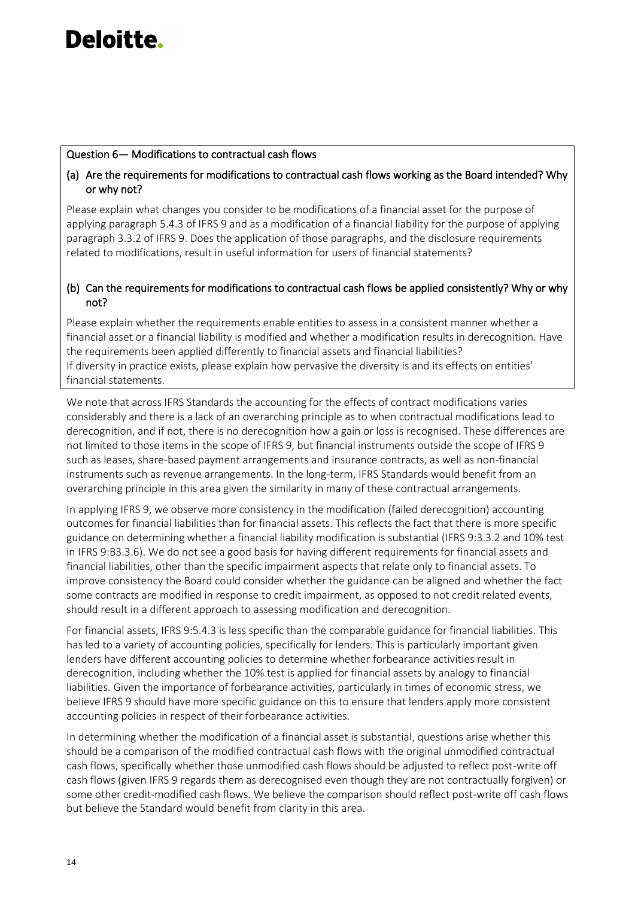#### Question 6— Modifications to contractual cash flows

#### (a) Are the requirements for modifications to contractual cash flows working as the Board intended? Why or why not?

Please explain what changes you consider to be modifications of a financial asset for the purpose of applying paragraph 5.4.3 of IFRS 9 and as a modification of a financial liability for the purpose of applying paragraph 3.3.2 of IFRS 9. Does the application of those paragraphs, and the disclosure requirements related to modifications, result in useful information for users of financial statements?

#### (b) Can the requirements for modifications to contractual cash flows be applied consistently? Why or why not?

Please explain whether the requirements enable entities to assess in a consistent manner whether a financial asset or a financial liability is modified and whether a modification results in derecognition. Have the requirements been applied differently to financial assets and financial liabilities? If diversity in practice exists, please explain how pervasive the diversity is and its effects on entities' financial statements.

We note that across IFRS Standards the accounting for the effects of contract modifications varies considerably and there is a lack of an overarching principle as to when contractual modifications lead to derecognition, and if not, there is no derecognition how a gain or loss is recognised. These differences are not limited to those items in the scope of IFRS 9, but financial instruments outside the scope of IFRS 9 such as leases, share-based payment arrangements and insurance contracts, as well as non-financial instruments such as revenue arrangements. In the long-term, IFRS Standards would benefit from an overarching principle in this area given the similarity in many of these contractual arrangements.

In applying IFRS 9, we observe more consistency in the modification (failed derecognition) accounting outcomes for financial liabilities than for financial assets. This reflects the fact that there is more specific guidance on determining whether a financial liability modification is substantial (IFRS 9:3.3.2 and 10% test in IFRS 9:B3.3.6). We do not see a good basis for having different requirements for financial assets and financial liabilities, other than the specific impairment aspects that relate only to financial assets. To improve consistency the Board could consider whether the guidance can be aligned and whether the fact some contracts are modified in response to credit impairment, as opposed to not credit related events, should result in a different approach to assessing modification and derecognition.

For financial assets, IFRS 9:5.4.3 is less specific than the comparable guidance for financial liabilities. This has led to a variety of accounting policies, specifically for lenders. This is particularly important given lenders have different accounting policies to determine whether forbearance activities result in derecognition, including whether the 10% test is applied for financial assets by analogy to financial liabilities. Given the importance of forbearance activities, particularly in times of economic stress, we believe IFRS 9 should have more specific guidance on this to ensure that lenders apply more consistent accounting policies in respect of their forbearance activities.

In determining whether the modification of a financial asset is substantial, questions arise whether this should be a comparison of the modified contractual cash flows with the original unmodified contractual cash flows, specifically whether those unmodified cash flows should be adjusted to reflect post-write off cash flows (given IFRS 9 regards them as derecognised even though they are not contractually forgiven) or some other credit-modified cash flows. We believe the comparison should reflect post-write off cash flows but believe the Standard would benefit from clarity in this area.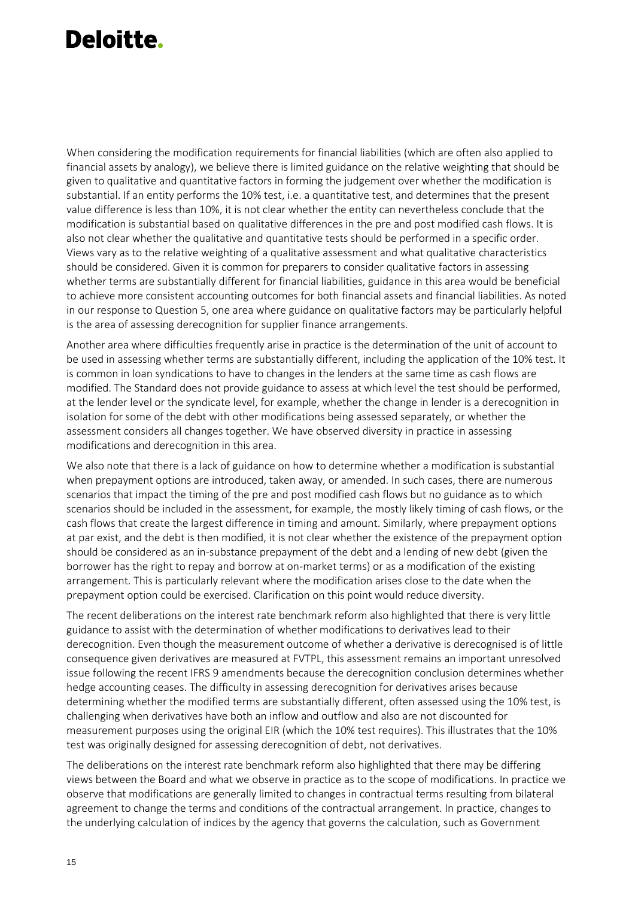When considering the modification requirements for financial liabilities (which are often also applied to financial assets by analogy), we believe there is limited guidance on the relative weighting that should be given to qualitative and quantitative factors in forming the judgement over whether the modification is substantial. If an entity performs the 10% test, i.e. a quantitative test, and determines that the present value difference is less than 10%, it is not clear whether the entity can nevertheless conclude that the modification is substantial based on qualitative differences in the pre and post modified cash flows. It is also not clear whether the qualitative and quantitative tests should be performed in a specific order. Views vary as to the relative weighting of a qualitative assessment and what qualitative characteristics should be considered. Given it is common for preparers to consider qualitative factors in assessing whether terms are substantially different for financial liabilities, guidance in this area would be beneficial to achieve more consistent accounting outcomes for both financial assets and financial liabilities. As noted in our response to Question 5, one area where guidance on qualitative factors may be particularly helpful is the area of assessing derecognition for supplier finance arrangements.

Another area where difficulties frequently arise in practice is the determination of the unit of account to be used in assessing whether terms are substantially different, including the application of the 10% test. It is common in loan syndications to have to changes in the lenders at the same time as cash flows are modified. The Standard does not provide guidance to assess at which level the test should be performed, at the lender level or the syndicate level, for example, whether the change in lender is a derecognition in isolation for some of the debt with other modifications being assessed separately, or whether the assessment considers all changes together. We have observed diversity in practice in assessing modifications and derecognition in this area.

We also note that there is a lack of guidance on how to determine whether a modification is substantial when prepayment options are introduced, taken away, or amended. In such cases, there are numerous scenarios that impact the timing of the pre and post modified cash flows but no guidance as to which scenarios should be included in the assessment, for example, the mostly likely timing of cash flows, or the cash flows that create the largest difference in timing and amount. Similarly, where prepayment options at par exist, and the debt is then modified, it is not clear whether the existence of the prepayment option should be considered as an in-substance prepayment of the debt and a lending of new debt (given the borrower has the right to repay and borrow at on-market terms) or as a modification of the existing arrangement. This is particularly relevant where the modification arises close to the date when the prepayment option could be exercised. Clarification on this point would reduce diversity.

The recent deliberations on the interest rate benchmark reform also highlighted that there is very little guidance to assist with the determination of whether modifications to derivatives lead to their derecognition. Even though the measurement outcome of whether a derivative is derecognised is of little consequence given derivatives are measured at FVTPL, this assessment remains an important unresolved issue following the recent IFRS 9 amendments because the derecognition conclusion determines whether hedge accounting ceases. The difficulty in assessing derecognition for derivatives arises because determining whether the modified terms are substantially different, often assessed using the 10% test, is challenging when derivatives have both an inflow and outflow and also are not discounted for measurement purposes using the original EIR (which the 10% test requires). This illustrates that the 10% test was originally designed for assessing derecognition of debt, not derivatives.

The deliberations on the interest rate benchmark reform also highlighted that there may be differing views between the Board and what we observe in practice as to the scope of modifications. In practice we observe that modifications are generally limited to changes in contractual terms resulting from bilateral agreement to change the terms and conditions of the contractual arrangement. In practice, changes to the underlying calculation of indices by the agency that governs the calculation, such as Government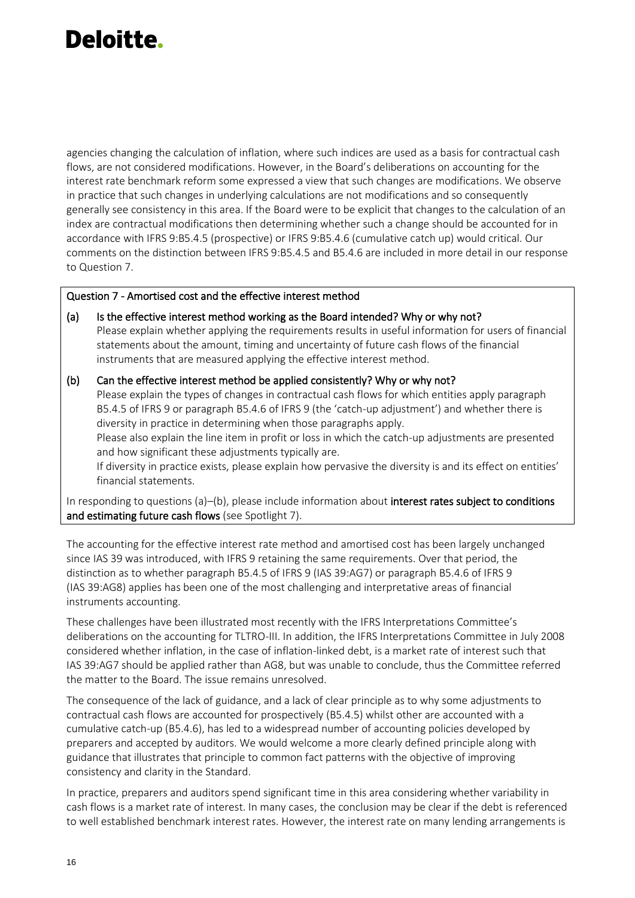agencies changing the calculation of inflation, where such indices are used as a basis for contractual cash flows, are not considered modifications. However, in the Board's deliberations on accounting for the interest rate benchmark reform some expressed a view that such changes are modifications. We observe in practice that such changes in underlying calculations are not modifications and so consequently generally see consistency in this area. If the Board were to be explicit that changes to the calculation of an index are contractual modifications then determining whether such a change should be accounted for in accordance with IFRS 9:B5.4.5 (prospective) or IFRS 9:B5.4.6 (cumulative catch up) would critical. Our comments on the distinction between IFRS 9:B5.4.5 and B5.4.6 are included in more detail in our response to Question 7.

#### Question 7 - Amortised cost and the effective interest method

(a) Is the effective interest method working as the Board intended? Why or why not? Please explain whether applying the requirements results in useful information for users of financial statements about the amount, timing and uncertainty of future cash flows of the financial instruments that are measured applying the effective interest method.

#### (b) Can the effective interest method be applied consistently? Why or why not?

Please explain the types of changes in contractual cash flows for which entities apply paragraph B5.4.5 of IFRS 9 or paragraph B5.4.6 of IFRS 9 (the 'catch-up adjustment') and whether there is diversity in practice in determining when those paragraphs apply.

Please also explain the line item in profit or loss in which the catch-up adjustments are presented and how significant these adjustments typically are.

If diversity in practice exists, please explain how pervasive the diversity is and its effect on entities' financial statements.

In responding to questions (a)–(b), please include information about interest rates subject to conditions and estimating future cash flows (see Spotlight 7).

The accounting for the effective interest rate method and amortised cost has been largely unchanged since IAS 39 was introduced, with IFRS 9 retaining the same requirements. Over that period, the distinction as to whether paragraph B5.4.5 of IFRS 9 (IAS 39:AG7) or paragraph B5.4.6 of IFRS 9 (IAS 39:AG8) applies has been one of the most challenging and interpretative areas of financial instruments accounting.

These challenges have been illustrated most recently with the IFRS Interpretations Committee's deliberations on the accounting for TLTRO-III. In addition, the IFRS Interpretations Committee in July 2008 considered whether inflation, in the case of inflation-linked debt, is a market rate of interest such that IAS 39:AG7 should be applied rather than AG8, but was unable to conclude, thus the Committee referred the matter to the Board. The issue remains unresolved.

The consequence of the lack of guidance, and a lack of clear principle as to why some adjustments to contractual cash flows are accounted for prospectively (B5.4.5) whilst other are accounted with a cumulative catch-up (B5.4.6), has led to a widespread number of accounting policies developed by preparers and accepted by auditors. We would welcome a more clearly defined principle along with guidance that illustrates that principle to common fact patterns with the objective of improving consistency and clarity in the Standard.

In practice, preparers and auditors spend significant time in this area considering whether variability in cash flows is a market rate of interest. In many cases, the conclusion may be clear if the debt is referenced to well established benchmark interest rates. However, the interest rate on many lending arrangements is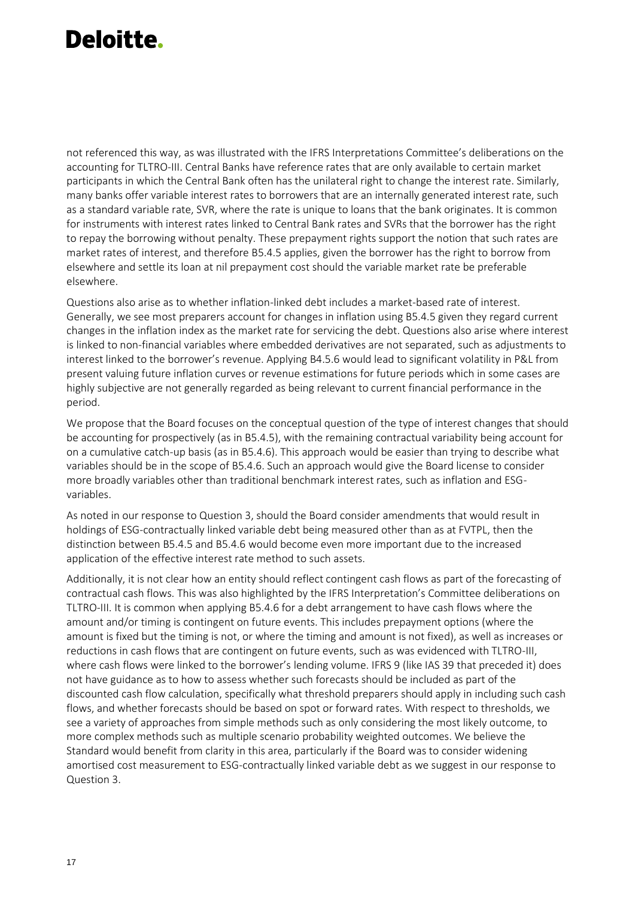not referenced this way, as was illustrated with the IFRS Interpretations Committee's deliberations on the accounting for TLTRO-III. Central Banks have reference rates that are only available to certain market participants in which the Central Bank often has the unilateral right to change the interest rate. Similarly, many banks offer variable interest rates to borrowers that are an internally generated interest rate, such as a standard variable rate, SVR, where the rate is unique to loans that the bank originates. It is common for instruments with interest rates linked to Central Bank rates and SVRs that the borrower has the right to repay the borrowing without penalty. These prepayment rights support the notion that such rates are market rates of interest, and therefore B5.4.5 applies, given the borrower has the right to borrow from elsewhere and settle its loan at nil prepayment cost should the variable market rate be preferable elsewhere.

Questions also arise as to whether inflation-linked debt includes a market-based rate of interest. Generally, we see most preparers account for changes in inflation using B5.4.5 given they regard current changes in the inflation index as the market rate for servicing the debt. Questions also arise where interest is linked to non-financial variables where embedded derivatives are not separated, such as adjustments to interest linked to the borrower's revenue. Applying B4.5.6 would lead to significant volatility in P&L from present valuing future inflation curves or revenue estimations for future periods which in some cases are highly subjective are not generally regarded as being relevant to current financial performance in the period.

We propose that the Board focuses on the conceptual question of the type of interest changes that should be accounting for prospectively (as in B5.4.5), with the remaining contractual variability being account for on a cumulative catch-up basis (as in B5.4.6). This approach would be easier than trying to describe what variables should be in the scope of B5.4.6. Such an approach would give the Board license to consider more broadly variables other than traditional benchmark interest rates, such as inflation and ESGvariables.

As noted in our response to Question 3, should the Board consider amendments that would result in holdings of ESG-contractually linked variable debt being measured other than as at FVTPL, then the distinction between B5.4.5 and B5.4.6 would become even more important due to the increased application of the effective interest rate method to such assets.

Additionally, it is not clear how an entity should reflect contingent cash flows as part of the forecasting of contractual cash flows. This was also highlighted by the IFRS Interpretation's Committee deliberations on TLTRO-III. It is common when applying B5.4.6 for a debt arrangement to have cash flows where the amount and/or timing is contingent on future events. This includes prepayment options (where the amount is fixed but the timing is not, or where the timing and amount is not fixed), as well as increases or reductions in cash flows that are contingent on future events, such as was evidenced with TLTRO-III, where cash flows were linked to the borrower's lending volume. IFRS 9 (like IAS 39 that preceded it) does not have guidance as to how to assess whether such forecasts should be included as part of the discounted cash flow calculation, specifically what threshold preparers should apply in including such cash flows, and whether forecasts should be based on spot or forward rates. With respect to thresholds, we see a variety of approaches from simple methods such as only considering the most likely outcome, to more complex methods such as multiple scenario probability weighted outcomes. We believe the Standard would benefit from clarity in this area, particularly if the Board was to consider widening amortised cost measurement to ESG-contractually linked variable debt as we suggest in our response to Question 3.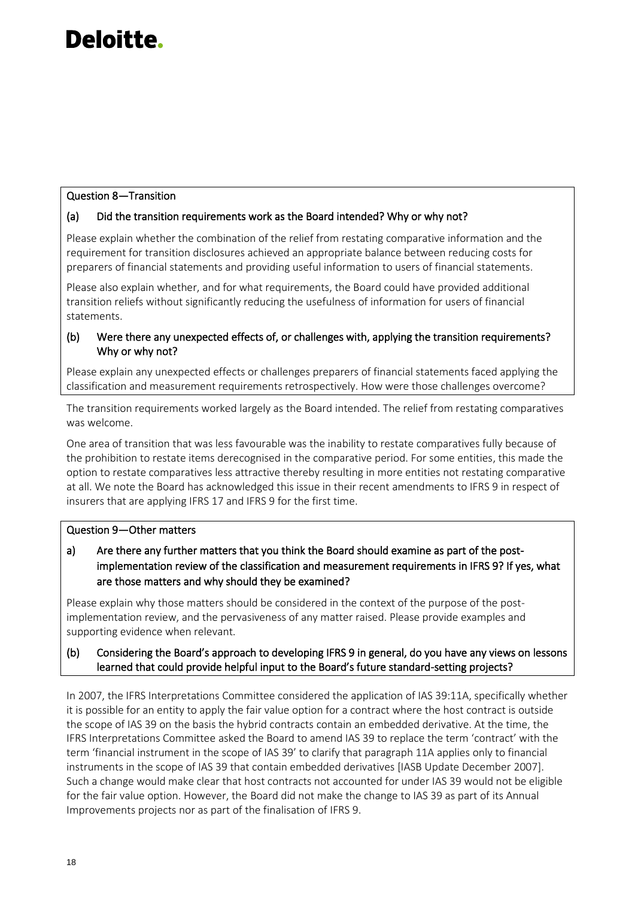#### Question 8—Transition

#### (a) Did the transition requirements work as the Board intended? Why or why not?

Please explain whether the combination of the relief from restating comparative information and the requirement for transition disclosures achieved an appropriate balance between reducing costs for preparers of financial statements and providing useful information to users of financial statements.

Please also explain whether, and for what requirements, the Board could have provided additional transition reliefs without significantly reducing the usefulness of information for users of financial statements.

#### (b) Were there any unexpected effects of, or challenges with, applying the transition requirements? Why or why not?

Please explain any unexpected effects or challenges preparers of financial statements faced applying the classification and measurement requirements retrospectively. How were those challenges overcome?

The transition requirements worked largely as the Board intended. The relief from restating comparatives was welcome.

One area of transition that was less favourable was the inability to restate comparatives fully because of the prohibition to restate items derecognised in the comparative period. For some entities, this made the option to restate comparatives less attractive thereby resulting in more entities not restating comparative at all. We note the Board has acknowledged this issue in their recent amendments to IFRS 9 in respect of insurers that are applying IFRS 17 and IFRS 9 for the first time.

#### Question 9—Other matters

a) Are there any further matters that you think the Board should examine as part of the postimplementation review of the classification and measurement requirements in IFRS 9? If yes, what are those matters and why should they be examined?

Please explain why those matters should be considered in the context of the purpose of the postimplementation review, and the pervasiveness of any matter raised. Please provide examples and supporting evidence when relevant.

#### (b) Considering the Board's approach to developing IFRS 9 in general, do you have any views on lessons learned that could provide helpful input to the Board's future standard-setting projects?

In 2007, the IFRS Interpretations Committee considered the application of IAS 39:11A, specifically whether it is possible for an entity to apply the fair value option for a contract where the host contract is outside the scope of IAS 39 on the basis the hybrid contracts contain an embedded derivative. At the time, the IFRS Interpretations Committee asked the Board to amend IAS 39 to replace the term 'contract' with the term 'financial instrument in the scope of IAS 39' to clarify that paragraph 11A applies only to financial instruments in the scope of IAS 39 that contain embedded derivatives [IASB Update December 2007]. Such a change would make clear that host contracts not accounted for under IAS 39 would not be eligible for the fair value option. However, the Board did not make the change to IAS 39 as part of its Annual Improvements projects nor as part of the finalisation of IFRS 9.